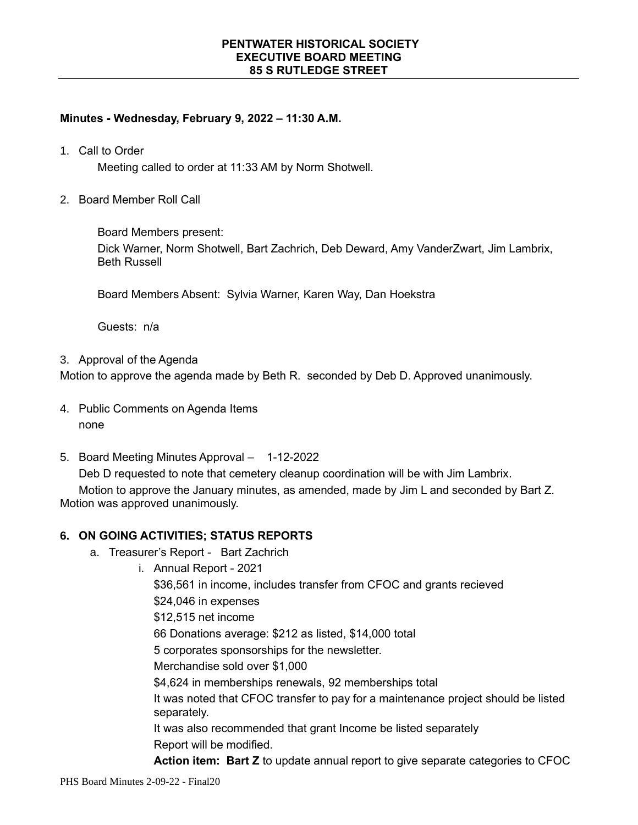# **Minutes - Wednesday, February 9, 2022 – 11:30 A.M.**

1. Call to Order

Meeting called to order at 11:33 AM by Norm Shotwell.

2. Board Member Roll Call

Board Members present:

Dick Warner, Norm Shotwell, Bart Zachrich, Deb Deward, Amy VanderZwart, Jim Lambrix, Beth Russell

Board Members Absent: Sylvia Warner, Karen Way, Dan Hoekstra

Guests: n/a

3. Approval of the Agenda

Motion to approve the agenda made by Beth R. seconded by Deb D. Approved unanimously.

- 4. Public Comments on Agenda Items none
- 5. Board Meeting Minutes Approval 1-12-2022

Deb D requested to note that cemetery cleanup coordination will be with Jim Lambrix.

Motion to approve the January minutes, as amended, made by Jim L and seconded by Bart Z. Motion was approved unanimously.

## **6. ON GOING ACTIVITIES; STATUS REPORTS**

- a. Treasurer's Report Bart Zachrich
	- i. Annual Report 2021

\$36,561 in income, includes transfer from CFOC and grants recieved \$24,046 in expenses

\$12,515 net income

66 Donations average: \$212 as listed, \$14,000 total

5 corporates sponsorships for the newsletter.

Merchandise sold over \$1,000

\$4,624 in memberships renewals, 92 memberships total

It was noted that CFOC transfer to pay for a maintenance project should be listed separately.

It was also recommended that grant Income be listed separately

Report will be modified.

**Action item: Bart Z** to update annual report to give separate categories to CFOC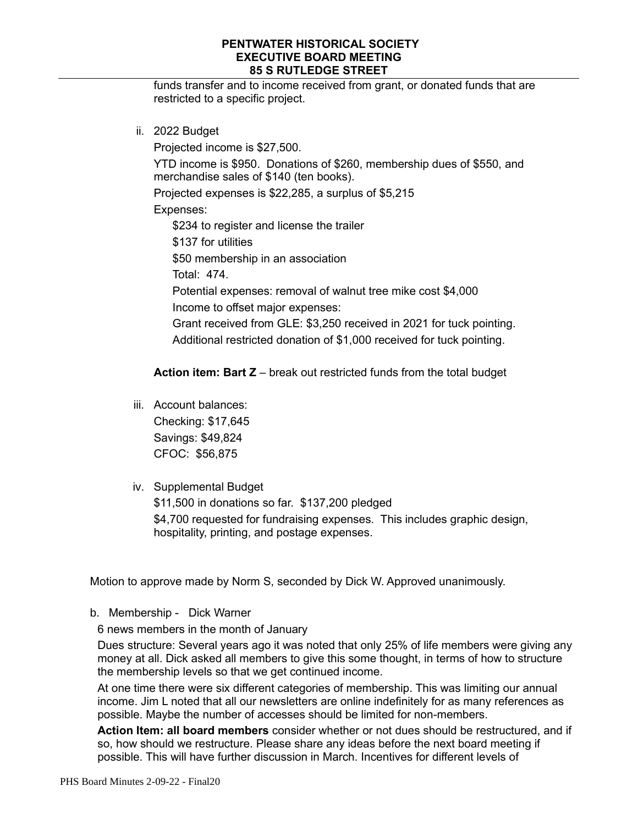funds transfer and to income received from grant, or donated funds that are restricted to a specific project.

ii. 2022 Budget

Projected income is \$27,500.

YTD income is \$950. Donations of \$260, membership dues of \$550, and merchandise sales of \$140 (ten books).

Projected expenses is \$22,285, a surplus of \$5,215

Expenses:

\$234 to register and license the trailer

\$137 for utilities

\$50 membership in an association

Total: 474.

Potential expenses: removal of walnut tree mike cost \$4,000 Income to offset major expenses:

Grant received from GLE: \$3,250 received in 2021 for tuck pointing. Additional restricted donation of \$1,000 received for tuck pointing.

### **Action item: Bart Z** – break out restricted funds from the total budget

- iii. Account balances: Checking: \$17,645 Savings: \$49,824 CFOC: \$56,875
- iv. Supplemental Budget

\$11,500 in donations so far. \$137,200 pledged \$4,700 requested for fundraising expenses. This includes graphic design, hospitality, printing, and postage expenses.

Motion to approve made by Norm S, seconded by Dick W. Approved unanimously.

b. Membership - Dick Warner

6 news members in the month of January

Dues structure: Several years ago it was noted that only 25% of life members were giving any money at all. Dick asked all members to give this some thought, in terms of how to structure the membership levels so that we get continued income.

At one time there were six different categories of membership. This was limiting our annual income. Jim L noted that all our newsletters are online indefinitely for as many references as possible. Maybe the number of accesses should be limited for non-members.

**Action Item: all board members** consider whether or not dues should be restructured, and if so, how should we restructure. Please share any ideas before the next board meeting if possible. This will have further discussion in March. Incentives for different levels of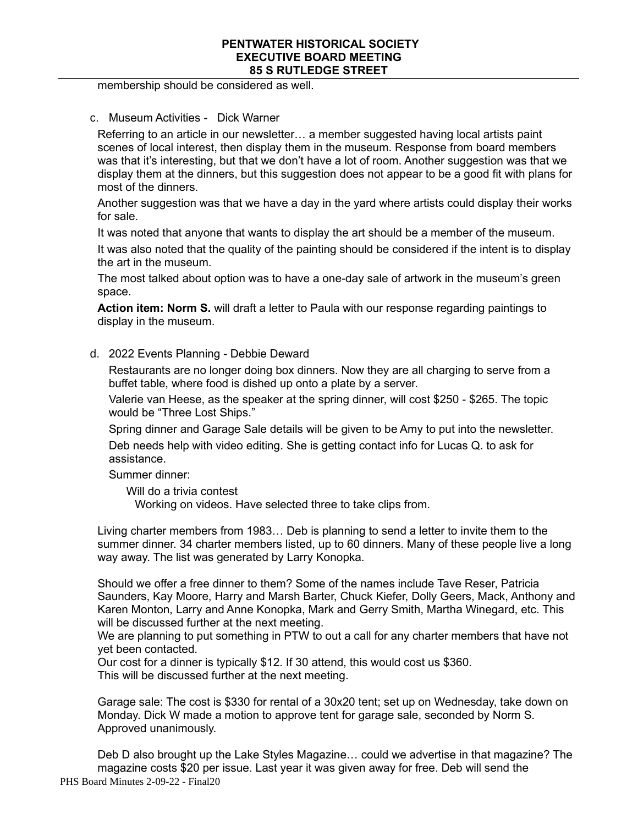membership should be considered as well.

#### c. Museum Activities - Dick Warner

Referring to an article in our newsletter… a member suggested having local artists paint scenes of local interest, then display them in the museum. Response from board members was that it's interesting, but that we don't have a lot of room. Another suggestion was that we display them at the dinners, but this suggestion does not appear to be a good fit with plans for most of the dinners.

Another suggestion was that we have a day in the yard where artists could display their works for sale.

It was noted that anyone that wants to display the art should be a member of the museum.

It was also noted that the quality of the painting should be considered if the intent is to display the art in the museum.

The most talked about option was to have a one-day sale of artwork in the museum's green space.

**Action item: Norm S.** will draft a letter to Paula with our response regarding paintings to display in the museum.

### d. 2022 Events Planning - Debbie Deward

Restaurants are no longer doing box dinners. Now they are all charging to serve from a buffet table, where food is dished up onto a plate by a server.

Valerie van Heese, as the speaker at the spring dinner, will cost \$250 - \$265. The topic would be "Three Lost Ships."

Spring dinner and Garage Sale details will be given to be Amy to put into the newsletter. Deb needs help with video editing. She is getting contact info for Lucas Q. to ask for assistance.

Summer dinner:

Will do a trivia contest

Working on videos. Have selected three to take clips from.

Living charter members from 1983… Deb is planning to send a letter to invite them to the summer dinner. 34 charter members listed, up to 60 dinners. Many of these people live a long way away. The list was generated by Larry Konopka.

Should we offer a free dinner to them? Some of the names include Tave Reser, Patricia Saunders, Kay Moore, Harry and Marsh Barter, Chuck Kiefer, Dolly Geers, Mack, Anthony and Karen Monton, Larry and Anne Konopka, Mark and Gerry Smith, Martha Winegard, etc. This will be discussed further at the next meeting.

We are planning to put something in PTW to out a call for any charter members that have not yet been contacted.

Our cost for a dinner is typically \$12. If 30 attend, this would cost us \$360. This will be discussed further at the next meeting.

Garage sale: The cost is \$330 for rental of a 30x20 tent; set up on Wednesday, take down on Monday. Dick W made a motion to approve tent for garage sale, seconded by Norm S. Approved unanimously.

PHS Board Minutes 2-09-22 - Final20 Deb D also brought up the Lake Styles Magazine… could we advertise in that magazine? The magazine costs \$20 per issue. Last year it was given away for free. Deb will send the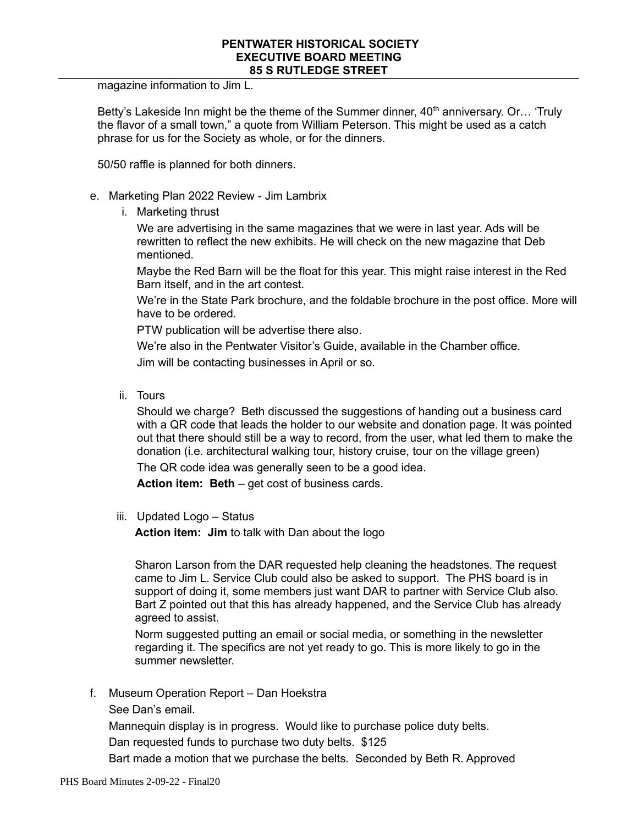magazine information to Jim L.

Betty's Lakeside Inn might be the theme of the Summer dinner,  $40<sup>th</sup>$  anniversary. Or... 'Truly the flavor of a small town," a quote from William Peterson. This might be used as a catch phrase for us for the Society as whole, or for the dinners.

50/50 raffle is planned for both dinners.

- e. Marketing Plan 2022 Review Jim Lambrix
	- i. Marketing thrust

We are advertising in the same magazines that we were in last year. Ads will be rewritten to reflect the new exhibits. He will check on the new magazine that Deb mentioned.

Maybe the Red Barn will be the float for this year. This might raise interest in the Red Barn itself, and in the art contest.

We're in the State Park brochure, and the foldable brochure in the post office. More will have to be ordered.

PTW publication will be advertise there also.

We're also in the Pentwater Visitor's Guide, available in the Chamber office.

Jim will be contacting businesses in April or so.

ii. Tours

Should we charge? Beth discussed the suggestions of handing out a business card with a QR code that leads the holder to our website and donation page. It was pointed out that there should still be a way to record, from the user, what led them to make the donation (i.e. architectural walking tour, history cruise, tour on the village green)

The QR code idea was generally seen to be a good idea.

**Action item: Beth** – get cost of business cards.

iii. Updated Logo – Status

**Action item: Jim** to talk with Dan about the logo

Sharon Larson from the DAR requested help cleaning the headstones. The request came to Jim L. Service Club could also be asked to support. The PHS board is in support of doing it, some members just want DAR to partner with Service Club also. Bart Z pointed out that this has already happened, and the Service Club has already agreed to assist.

Norm suggested putting an email or social media, or something in the newsletter regarding it. The specifics are not yet ready to go. This is more likely to go in the summer newsletter.

f. Museum Operation Report – Dan Hoekstra

See Dan's email.

Mannequin display is in progress. Would like to purchase police duty belts.

Dan requested funds to purchase two duty belts. \$125

Bart made a motion that we purchase the belts. Seconded by Beth R. Approved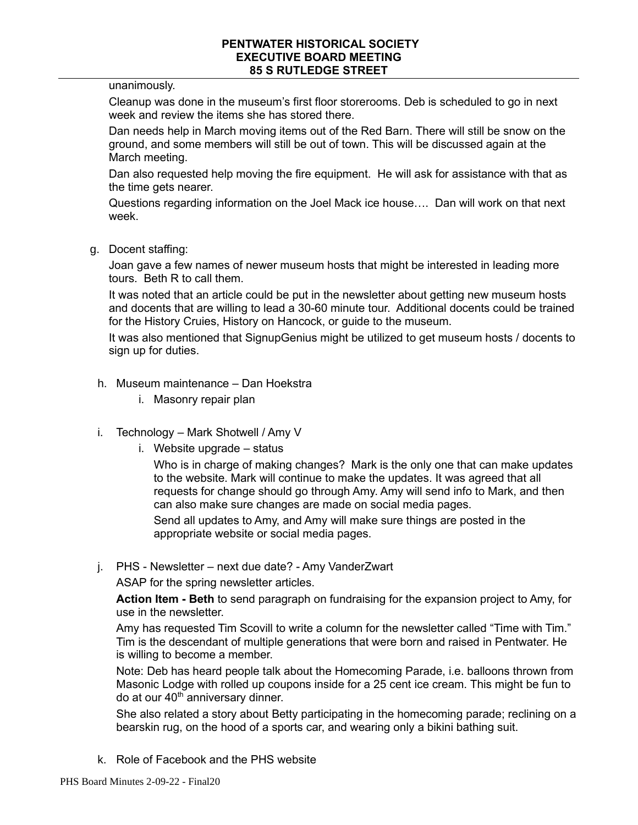unanimously.

Cleanup was done in the museum's first floor storerooms. Deb is scheduled to go in next week and review the items she has stored there.

Dan needs help in March moving items out of the Red Barn. There will still be snow on the ground, and some members will still be out of town. This will be discussed again at the March meeting.

Dan also requested help moving the fire equipment. He will ask for assistance with that as the time gets nearer.

Questions regarding information on the Joel Mack ice house…. Dan will work on that next week.

g. Docent staffing:

Joan gave a few names of newer museum hosts that might be interested in leading more tours. Beth R to call them.

It was noted that an article could be put in the newsletter about getting new museum hosts and docents that are willing to lead a 30-60 minute tour. Additional docents could be trained for the History Cruies, History on Hancock, or guide to the museum.

It was also mentioned that SignupGenius might be utilized to get museum hosts / docents to sign up for duties.

- h. Museum maintenance Dan Hoekstra
	- i. Masonry repair plan
- i. Technology Mark Shotwell / Amy V
	- i. Website upgrade status

Who is in charge of making changes? Mark is the only one that can make updates to the website. Mark will continue to make the updates. It was agreed that all requests for change should go through Amy. Amy will send info to Mark, and then can also make sure changes are made on social media pages.

Send all updates to Amy, and Amy will make sure things are posted in the appropriate website or social media pages.

j. PHS - Newsletter – next due date? - Amy VanderZwart

ASAP for the spring newsletter articles.

**Action Item - Beth** to send paragraph on fundraising for the expansion project to Amy, for use in the newsletter.

Amy has requested Tim Scovill to write a column for the newsletter called "Time with Tim." Tim is the descendant of multiple generations that were born and raised in Pentwater. He is willing to become a member.

Note: Deb has heard people talk about the Homecoming Parade, i.e. balloons thrown from Masonic Lodge with rolled up coupons inside for a 25 cent ice cream. This might be fun to do at our 40<sup>th</sup> anniversary dinner.

She also related a story about Betty participating in the homecoming parade; reclining on a bearskin rug, on the hood of a sports car, and wearing only a bikini bathing suit.

k. Role of Facebook and the PHS website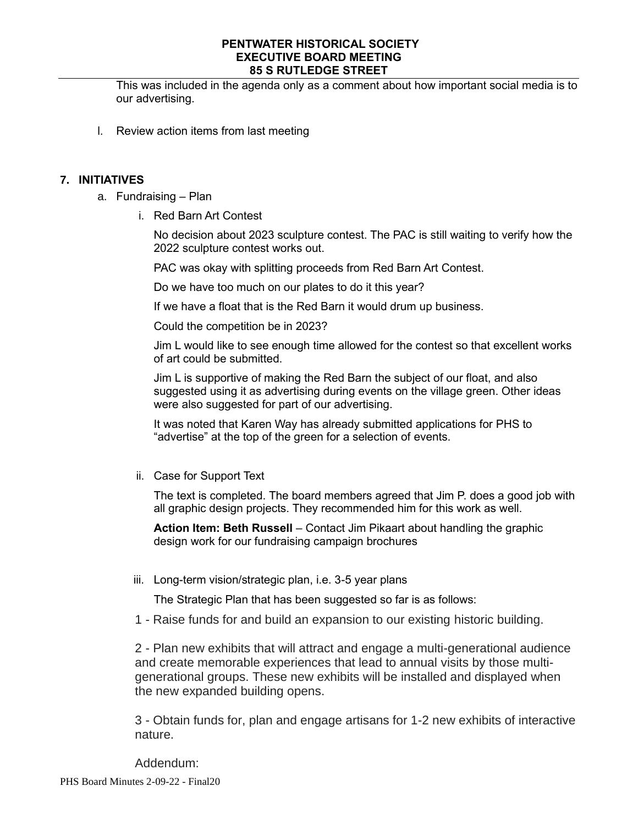This was included in the agenda only as a comment about how important social media is to our advertising.

l. Review action items from last meeting

## **7. INITIATIVES**

- a. Fundraising Plan
	- i. Red Barn Art Contest

No decision about 2023 sculpture contest. The PAC is still waiting to verify how the 2022 sculpture contest works out.

PAC was okay with splitting proceeds from Red Barn Art Contest.

Do we have too much on our plates to do it this year?

If we have a float that is the Red Barn it would drum up business.

Could the competition be in 2023?

Jim L would like to see enough time allowed for the contest so that excellent works of art could be submitted.

Jim L is supportive of making the Red Barn the subject of our float, and also suggested using it as advertising during events on the village green. Other ideas were also suggested for part of our advertising.

It was noted that Karen Way has already submitted applications for PHS to "advertise" at the top of the green for a selection of events.

ii. Case for Support Text

The text is completed. The board members agreed that Jim P. does a good job with all graphic design projects. They recommended him for this work as well.

**Action Item: Beth Russell** – Contact Jim Pikaart about handling the graphic design work for our fundraising campaign brochures

iii. Long-term vision/strategic plan, i.e. 3-5 year plans

The Strategic Plan that has been suggested so far is as follows:

1 - Raise funds for and build an expansion to our existing historic building.

2 - Plan new exhibits that will attract and engage a multi-generational audience and create memorable experiences that lead to annual visits by those multigenerational groups. These new exhibits will be installed and displayed when the new expanded building opens.

3 - Obtain funds for, plan and engage artisans for 1-2 new exhibits of interactive nature.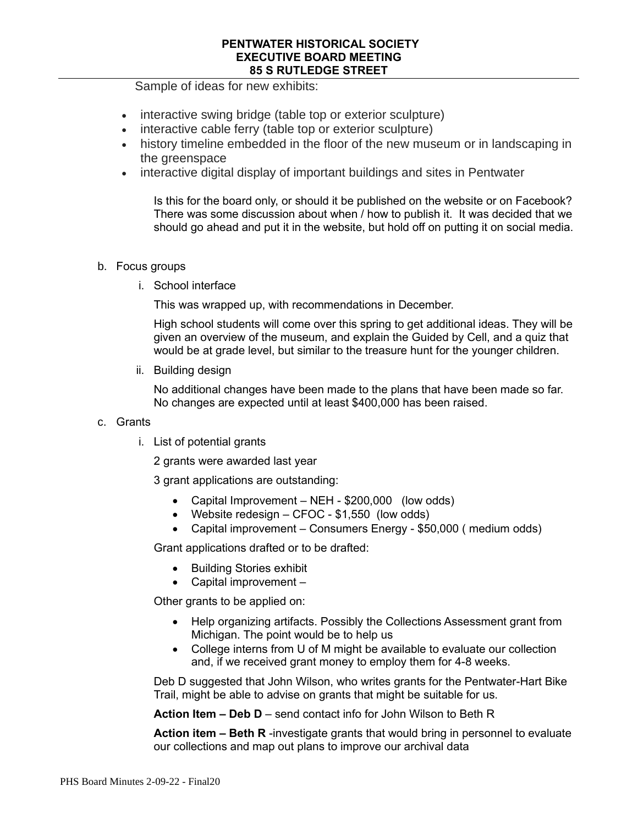Sample of ideas for new exhibits:

- interactive swing bridge (table top or exterior sculpture)
- interactive cable ferry (table top or exterior sculpture)
- history timeline embedded in the floor of the new museum or in landscaping in the greenspace
- interactive digital display of important buildings and sites in Pentwater

Is this for the board only, or should it be published on the website or on Facebook? There was some discussion about when / how to publish it. It was decided that we should go ahead and put it in the website, but hold off on putting it on social media.

### b. Focus groups

i. School interface

This was wrapped up, with recommendations in December.

High school students will come over this spring to get additional ideas. They will be given an overview of the museum, and explain the Guided by Cell, and a quiz that would be at grade level, but similar to the treasure hunt for the younger children.

ii. Building design

No additional changes have been made to the plans that have been made so far. No changes are expected until at least \$400,000 has been raised.

- c. Grants
	- i. List of potential grants

2 grants were awarded last year

3 grant applications are outstanding:

- Capital Improvement NEH \$200,000 (low odds)
- Website redesign CFOC \$1,550 (low odds)
- Capital improvement Consumers Energy \$50,000 (medium odds)

Grant applications drafted or to be drafted:

- Building Stories exhibit
- Capital improvement –

Other grants to be applied on:

- Help organizing artifacts. Possibly the Collections Assessment grant from Michigan. The point would be to help us
- College interns from U of M might be available to evaluate our collection and, if we received grant money to employ them for 4-8 weeks.

Deb D suggested that John Wilson, who writes grants for the Pentwater-Hart Bike Trail, might be able to advise on grants that might be suitable for us.

**Action Item – Deb D** – send contact info for John Wilson to Beth R

**Action item – Beth R** -investigate grants that would bring in personnel to evaluate our collections and map out plans to improve our archival data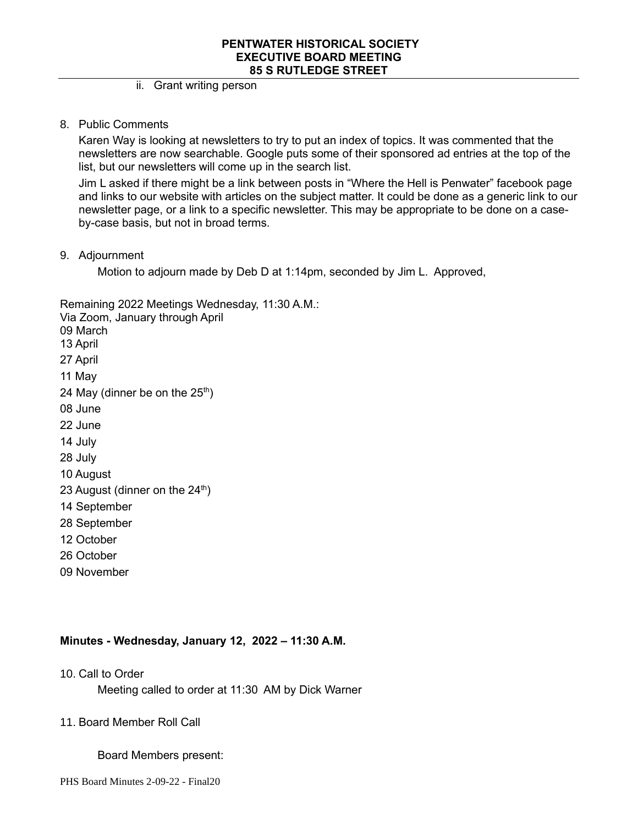### ii. Grant writing person

8. Public Comments

Karen Way is looking at newsletters to try to put an index of topics. It was commented that the newsletters are now searchable. Google puts some of their sponsored ad entries at the top of the list, but our newsletters will come up in the search list.

Jim L asked if there might be a link between posts in "Where the Hell is Penwater" facebook page and links to our website with articles on the subject matter. It could be done as a generic link to our newsletter page, or a link to a specific newsletter. This may be appropriate to be done on a caseby-case basis, but not in broad terms.

9. Adjournment

Motion to adjourn made by Deb D at 1:14pm, seconded by Jim L. Approved,

Remaining 2022 Meetings Wednesday, 11:30 A.M.:

- Via Zoom, January through April
- 09 March
- 13 April
- 27 April
- 11 May
- 24 May (dinner be on the  $25<sup>th</sup>$ )
- 08 June
- 22 June
- 14 July
- 28 July
- 10 August
- 23 August (dinner on the  $24<sup>th</sup>$ )
- 14 September
- 28 September
- 12 October
- 26 October
- 09 November

## **Minutes - Wednesday, January 12, 2022 – 11:30 A.M.**

10. Call to Order

Meeting called to order at 11:30 AM by Dick Warner

## 11. Board Member Roll Call

#### Board Members present: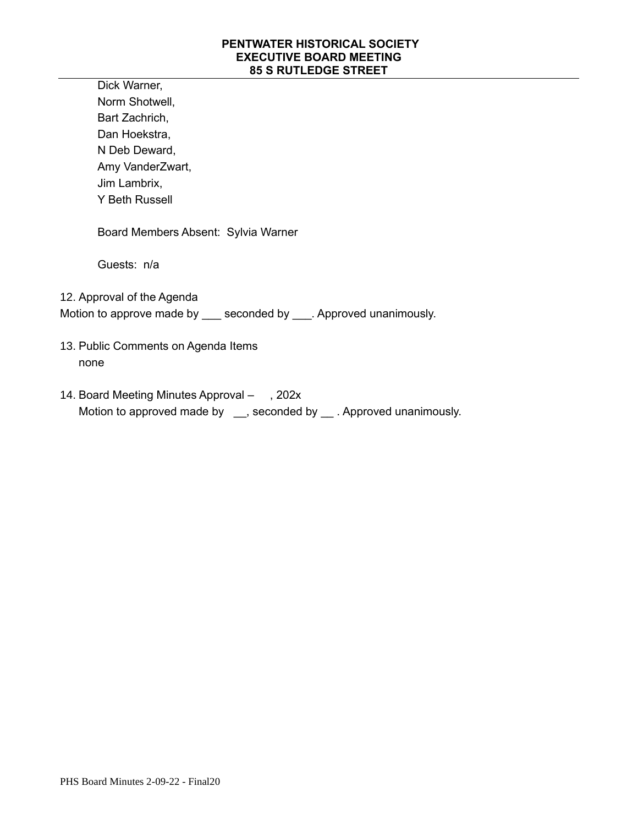Dick Warner, Norm Shotwell, Bart Zachrich, Dan Hoekstra, N Deb Deward, Amy VanderZwart, Jim Lambrix, Y Beth Russell

Board Members Absent: Sylvia Warner

Guests: n/a

12. Approval of the Agenda

Motion to approve made by \_\_\_ seconded by \_\_\_. Approved unanimously.

- 13. Public Comments on Agenda Items none
- 14. Board Meeting Minutes Approval , 202x Motion to approved made by \_\_, seconded by \_\_. Approved unanimously.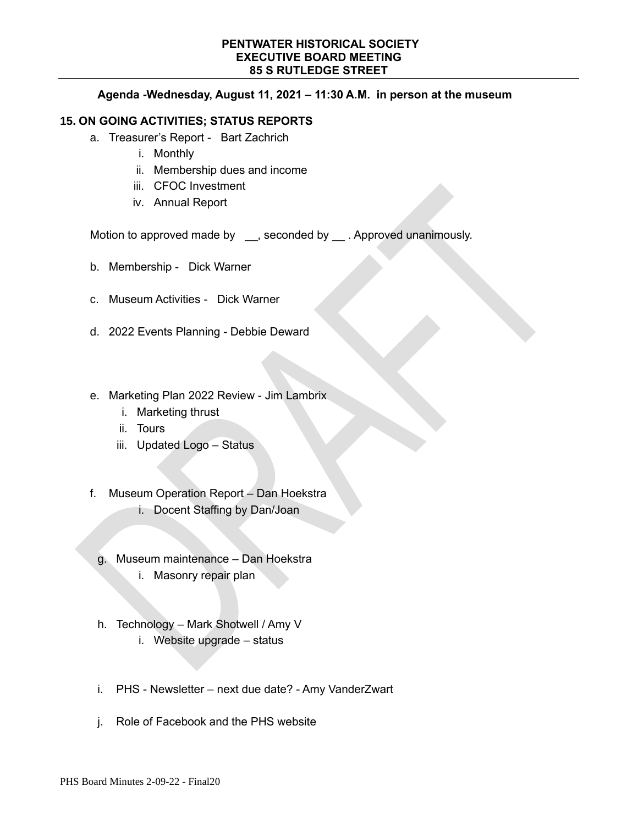#### **Agenda -Wednesday, August 11, 2021 – 11:30 A.M. in person at the museum**

## **15. ON GOING ACTIVITIES; STATUS REPORTS**

- a. Treasurer's Report Bart Zachrich
	- i. Monthly
	- ii. Membership dues and income
	- iii. CFOC Investment
	- iv. Annual Report

Motion to approved made by \_\_\_, seconded by \_\_\_. Approved unanimously.

- b. Membership Dick Warner
- c. Museum Activities Dick Warner
- d. 2022 Events Planning Debbie Deward
- e. Marketing Plan 2022 Review Jim Lambrix
	- i. Marketing thrust
	- ii. Tours
	- iii. Updated Logo Status
- f. Museum Operation Report Dan Hoekstra i. Docent Staffing by Dan/Joan
	- g. Museum maintenance Dan Hoekstra
		- i. Masonry repair plan
	- h. Technology Mark Shotwell / Amy V i. Website upgrade – status
	- i. PHS Newsletter next due date? Amy VanderZwart
	- j. Role of Facebook and the PHS website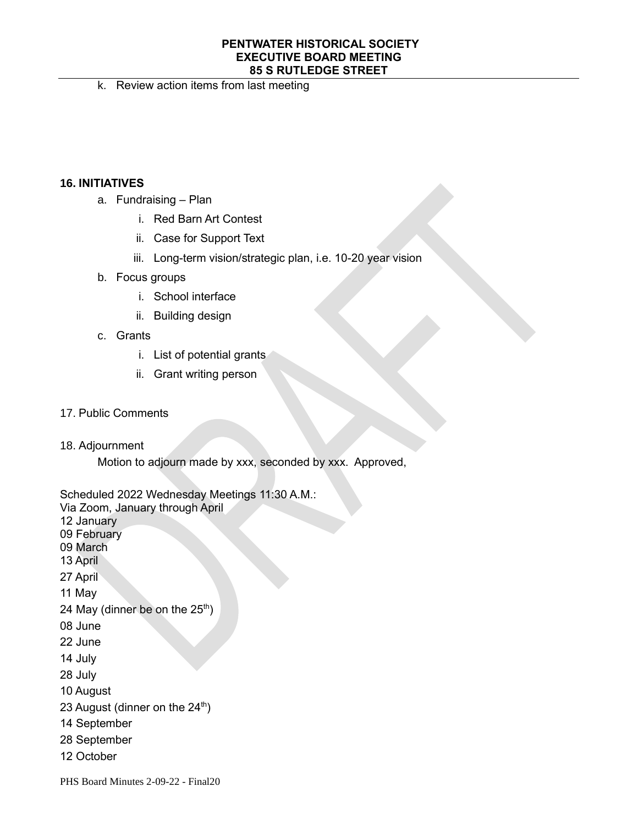k. Review action items from last meeting

## **16. INITIATIVES**

- a. Fundraising Plan
	- i. Red Barn Art Contest
	- ii. Case for Support Text
	- iii. Long-term vision/strategic plan, i.e. 10-20 year vision
- b. Focus groups
	- i. School interface
	- ii. Building design
- c. Grants
	- i. List of potential grants
	- ii. Grant writing person
- 17. Public Comments
- 18. Adjournment

Motion to adjourn made by xxx, seconded by xxx. Approved,

Scheduled 2022 Wednesday Meetings 11:30 A.M.:

Via Zoom, January through April

12 January

- 09 February
- 09 March
- 13 April

27 April

11 May

- 24 May (dinner be on the  $25<sup>th</sup>$ )
- 08 June
- 22 June
- 14 July
- 28 July
- 10 August
- 23 August (dinner on the  $24<sup>th</sup>$ )
- 14 September
- 28 September
- 12 October